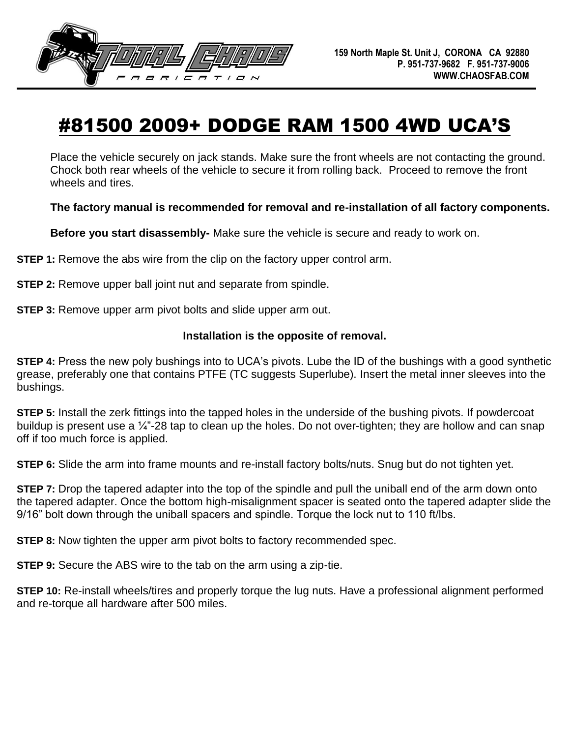

## #81500 2009+ DODGE RAM 1500 4WD UCA'S

Place the vehicle securely on jack stands. Make sure the front wheels are not contacting the ground. Chock both rear wheels of the vehicle to secure it from rolling back. Proceed to remove the front wheels and tires.

**The factory manual is recommended for removal and re-installation of all factory components.** 

**Before you start disassembly-** Make sure the vehicle is secure and ready to work on.

**STEP 1:** Remove the abs wire from the clip on the factory upper control arm.

**STEP 2:** Remove upper ball joint nut and separate from spindle.

**STEP 3:** Remove upper arm pivot bolts and slide upper arm out.

## **Installation is the opposite of removal.**

**STEP 4:** Press the new poly bushings into to UCA's pivots. Lube the ID of the bushings with a good synthetic grease, preferably one that contains PTFE (TC suggests Superlube). Insert the metal inner sleeves into the bushings.

**STEP 5:** Install the zerk fittings into the tapped holes in the underside of the bushing pivots. If powdercoat buildup is present use a  $\frac{1}{4}$ -28 tap to clean up the holes. Do not over-tighten; they are hollow and can snap off if too much force is applied.

**STEP 6:** Slide the arm into frame mounts and re-install factory bolts/nuts. Snug but do not tighten yet.

**STEP 7:** Drop the tapered adapter into the top of the spindle and pull the uniball end of the arm down onto the tapered adapter. Once the bottom high-misalignment spacer is seated onto the tapered adapter slide the 9/16" bolt down through the uniball spacers and spindle. Torque the lock nut to 110 ft/lbs.

**STEP 8:** Now tighten the upper arm pivot bolts to factory recommended spec.

**STEP 9:** Secure the ABS wire to the tab on the arm using a zip-tie.

**STEP 10:** Re-install wheels/tires and properly torque the lug nuts. Have a professional alignment performed and re-torque all hardware after 500 miles.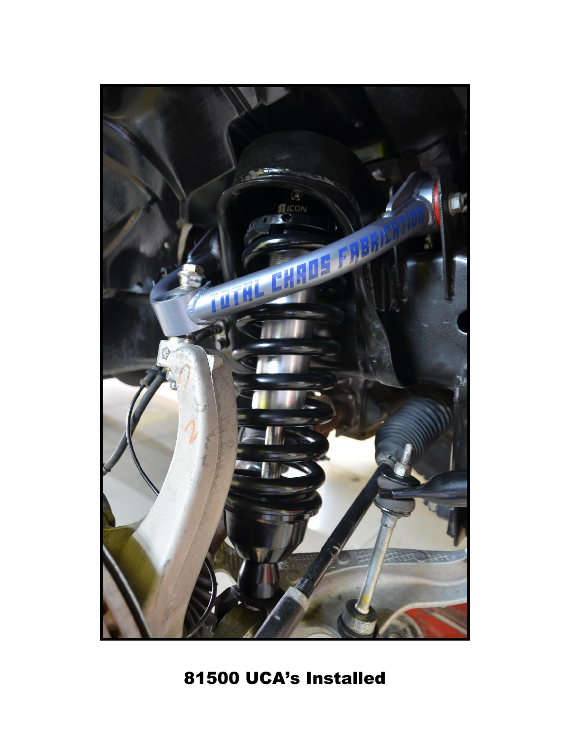

81500 UCA's Installed